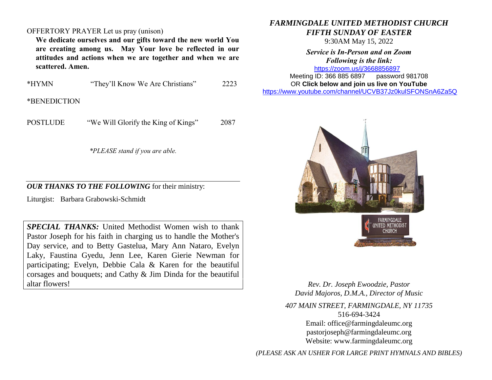## OFFERTORY PRAYER Let us pray (unison)

**We dedicate ourselves and our gifts toward the new world You are creating among us. May Your love be reflected in our attitudes and actions when we are together and when we are scattered. Amen.**

| *HYMN | "They'll Know We Are Christians" | 2223 |
|-------|----------------------------------|------|
|-------|----------------------------------|------|

\*BENEDICTION

POSTLUDE "We Will Glorify the King of Kings" 2087

*\*PLEASE stand if you are able.*

## *OUR THANKS TO THE FOLLOWING* for their ministry:

Liturgist: Barbara Grabowski-Schmidt

*SPECIAL THANKS:* United Methodist Women wish to thank Pastor Joseph for his faith in charging us to handle the Mother's Day service, and to Betty Gastelua, Mary Ann Nataro, Evelyn Laky, Faustina Gyedu, Jenn Lee, Karen Gierie Newman for participating; Evelyn, Debbie Cala & Karen for the beautiful corsages and bouquets; and Cathy & Jim Dinda for the beautiful altar flowers!

## *FARMINGDALE UNITED METHODIST CHURCH FIFTH SUNDAY OF EASTER*

9:30AM May 15, 2022

*Service is In-Person and on Zoom Following is the link:* <https://zoom.us/j/3668856897>

Meeting ID: 366 885 6897 password 981708 OR **Click below and join us live on YouTube**  [https://www.youtube.com/channel/UCVB37Jz0kulSFONSnA6Za5Q](https://r20.rs6.net/tn.jsp?f=001k6RGPvPFbGGMIcfKWiNR_iQRr6wnePVJO5wPBmTGTUG-6H7Rno-Ccjzncf7RAcA2aCO1usCGiuYYhUDPog8HWc38p-B70aEHKS8a7AZ633unLlDnlsyY1rSZY7DrB1di009D1MFmnX36MQIEkLrC34ZIDpgMTMT95Xsd-rYhXX761Me0QKhAdY1E-Os86l7d&c=&ch=)



UNITED METHODIST **CHURCH** 

*Rev. Dr. Joseph Ewoodzie, Pastor David Majoros, D.M.A., Director of Music*

*407 MAIN STREET, FARMINGDALE, NY 11735* 516-694-3424 Email: [office@farmingdaleumc.org](mailto:office@farmingdaleumc.org) pastorjoseph@farmingdaleumc.org Website: www.farmingdaleumc.org

*(PLEASE ASK AN USHER FOR LARGE PRINT HYMNALS AND BIBLES)*